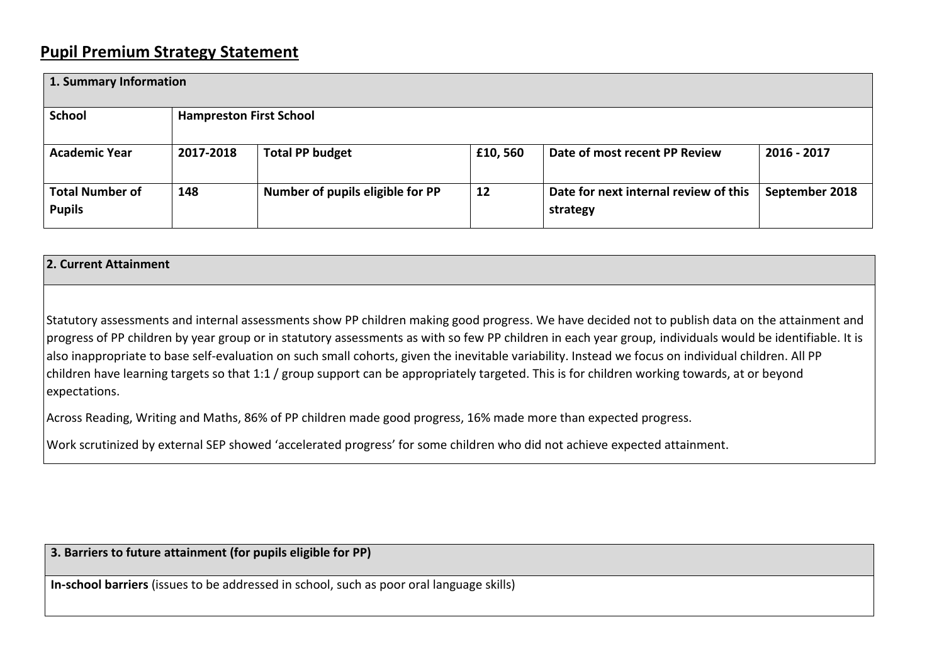## **Pupil Premium Strategy Statement**

| 1. Summary Information                  |                                |                                  |          |                                                   |                |  |
|-----------------------------------------|--------------------------------|----------------------------------|----------|---------------------------------------------------|----------------|--|
| <b>School</b>                           | <b>Hampreston First School</b> |                                  |          |                                                   |                |  |
| <b>Academic Year</b>                    | 2017-2018                      | <b>Total PP budget</b>           | £10, 560 | Date of most recent PP Review                     | 2016 - 2017    |  |
| <b>Total Number of</b><br><b>Pupils</b> | 148                            | Number of pupils eligible for PP | 12       | Date for next internal review of this<br>strategy | September 2018 |  |

## **2. Current Attainment**

Statutory assessments and internal assessments show PP children making good progress. We have decided not to publish data on the attainment and progress of PP children by year group or in statutory assessments as with so few PP children in each year group, individuals would be identifiable. It is also inappropriate to base self-evaluation on such small cohorts, given the inevitable variability. Instead we focus on individual children. All PP children have learning targets so that 1:1 / group support can be appropriately targeted. This is for children working towards, at or beyond expectations.

Across Reading, Writing and Maths, 86% of PP children made good progress, 16% made more than expected progress.

Work scrutinized by external SEP showed 'accelerated progress' for some children who did not achieve expected attainment.

**3. Barriers to future attainment (for pupils eligible for PP)**

**In-school barriers** (issues to be addressed in school, such as poor oral language skills)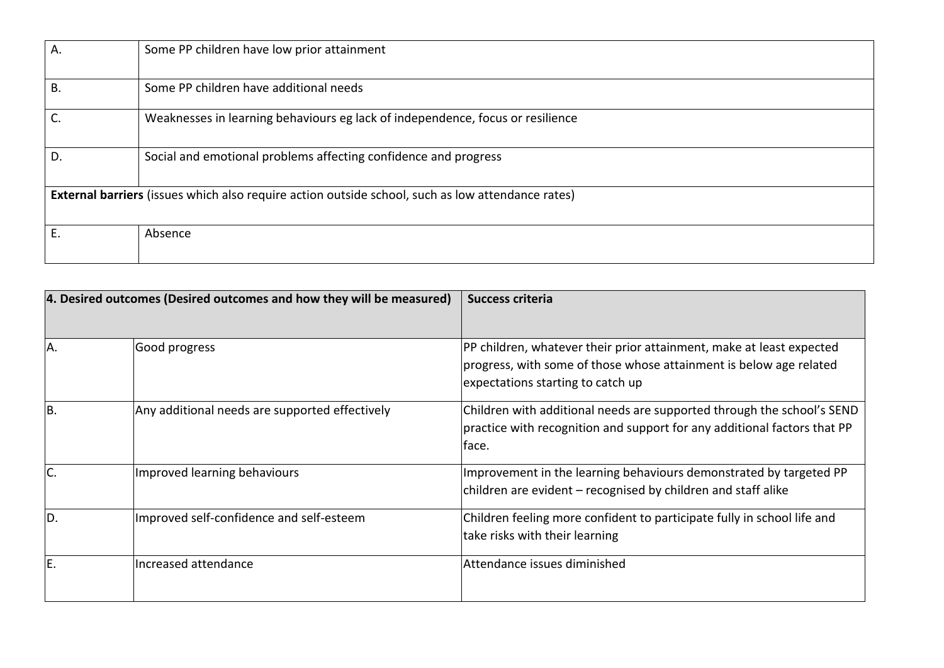| Α.                                                                                                       | Some PP children have low prior attainment                                     |  |  |  |
|----------------------------------------------------------------------------------------------------------|--------------------------------------------------------------------------------|--|--|--|
| В.                                                                                                       | Some PP children have additional needs                                         |  |  |  |
|                                                                                                          | Weaknesses in learning behaviours eg lack of independence, focus or resilience |  |  |  |
| D.                                                                                                       | Social and emotional problems affecting confidence and progress                |  |  |  |
| <b>External barriers</b> (issues which also require action outside school, such as low attendance rates) |                                                                                |  |  |  |
| Е.                                                                                                       | Absence                                                                        |  |  |  |

| 4. Desired outcomes (Desired outcomes and how they will be measured) |                                                | Success criteria                                                                                                                                                                |  |  |
|----------------------------------------------------------------------|------------------------------------------------|---------------------------------------------------------------------------------------------------------------------------------------------------------------------------------|--|--|
|                                                                      |                                                |                                                                                                                                                                                 |  |  |
| A.                                                                   | Good progress                                  | PP children, whatever their prior attainment, make at least expected<br>progress, with some of those whose attainment is below age related<br>expectations starting to catch up |  |  |
| IB.                                                                  | Any additional needs are supported effectively | Children with additional needs are supported through the school's SEND<br>practice with recognition and support for any additional factors that PP<br>face.                     |  |  |
|                                                                      | Improved learning behaviours                   | Improvement in the learning behaviours demonstrated by targeted PP<br>children are evident – recognised by children and staff alike                                             |  |  |
| ID.                                                                  | Improved self-confidence and self-esteem       | Children feeling more confident to participate fully in school life and<br>take risks with their learning                                                                       |  |  |
| E.                                                                   | Increased attendance                           | Attendance issues diminished                                                                                                                                                    |  |  |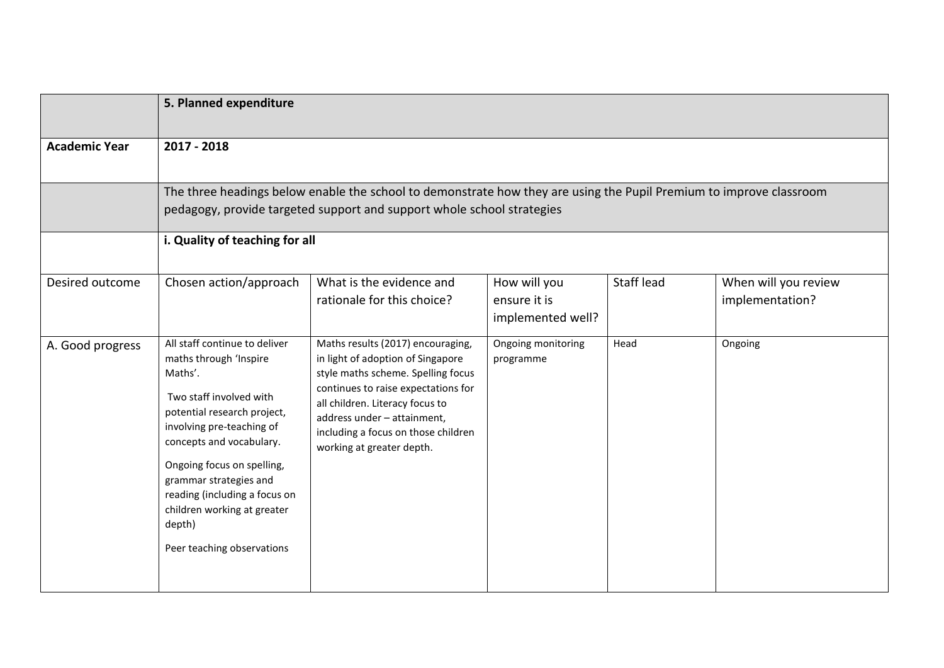|                      | 5. Planned expenditure                                                                                                                                                                                                                                                                                                                                |                                                                                                                                                                                                                                                                                           |                                                   |            |                                         |  |
|----------------------|-------------------------------------------------------------------------------------------------------------------------------------------------------------------------------------------------------------------------------------------------------------------------------------------------------------------------------------------------------|-------------------------------------------------------------------------------------------------------------------------------------------------------------------------------------------------------------------------------------------------------------------------------------------|---------------------------------------------------|------------|-----------------------------------------|--|
| <b>Academic Year</b> | 2017 - 2018                                                                                                                                                                                                                                                                                                                                           |                                                                                                                                                                                                                                                                                           |                                                   |            |                                         |  |
|                      | The three headings below enable the school to demonstrate how they are using the Pupil Premium to improve classroom<br>pedagogy, provide targeted support and support whole school strategies                                                                                                                                                         |                                                                                                                                                                                                                                                                                           |                                                   |            |                                         |  |
|                      | i. Quality of teaching for all                                                                                                                                                                                                                                                                                                                        |                                                                                                                                                                                                                                                                                           |                                                   |            |                                         |  |
| Desired outcome      | Chosen action/approach                                                                                                                                                                                                                                                                                                                                | What is the evidence and<br>rationale for this choice?                                                                                                                                                                                                                                    | How will you<br>ensure it is<br>implemented well? | Staff lead | When will you review<br>implementation? |  |
| A. Good progress     | All staff continue to deliver<br>maths through 'Inspire<br>Maths'.<br>Two staff involved with<br>potential research project,<br>involving pre-teaching of<br>concepts and vocabulary.<br>Ongoing focus on spelling,<br>grammar strategies and<br>reading (including a focus on<br>children working at greater<br>depth)<br>Peer teaching observations | Maths results (2017) encouraging,<br>in light of adoption of Singapore<br>style maths scheme. Spelling focus<br>continues to raise expectations for<br>all children. Literacy focus to<br>address under - attainment,<br>including a focus on those children<br>working at greater depth. | Ongoing monitoring<br>programme                   | Head       | Ongoing                                 |  |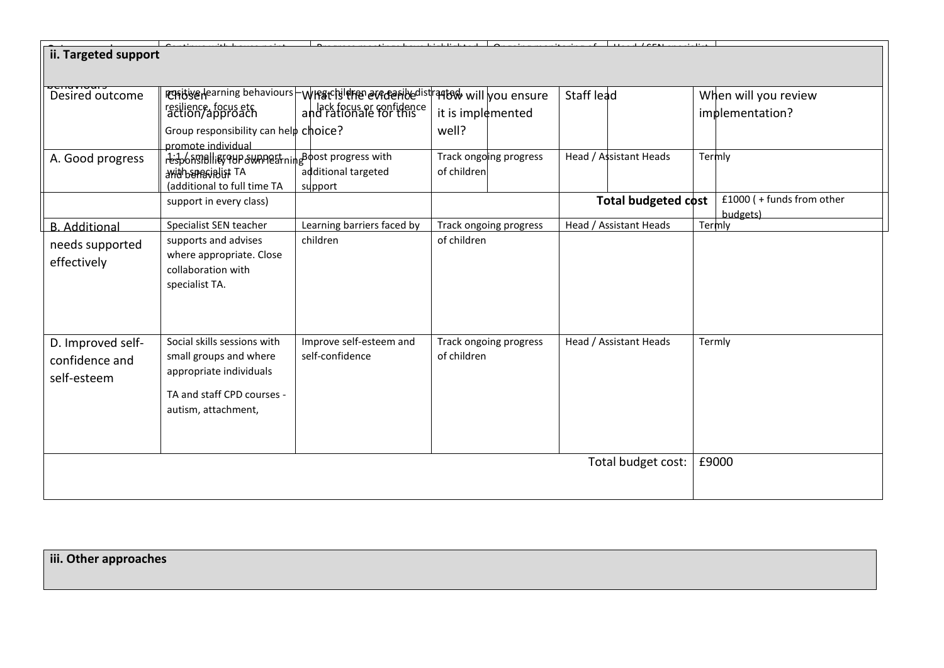| ii. Targeted support |                                                                          |                                                                    |                        |                            |                          |  |
|----------------------|--------------------------------------------------------------------------|--------------------------------------------------------------------|------------------------|----------------------------|--------------------------|--|
|                      |                                                                          |                                                                    |                        |                            |                          |  |
| Desired outcome      |                                                                          | Resigned in proportions behaviours - WIRSCHIERED every expended is | r๚‱ will you ensure    | Staff lead                 | When will you review     |  |
|                      | resilience, focus etc<br>action/approach                                 | lack focus or confidence<br>and rationale for this                 | it is implemented      |                            | implementation?          |  |
|                      | Group responsibility can help choice?                                    |                                                                    | well?                  |                            |                          |  |
| A. Good progress     | promote individual<br>responsibility qup swanostning Boost progress with |                                                                    | Track ongoing progress | Head / Assistant Heads     | Termly                   |  |
|                      | <b>Mith SPEGIBLIST TA</b><br>(additional to full time TA                 | additional targeted<br>support                                     | of children            |                            |                          |  |
|                      | support in every class)                                                  |                                                                    |                        | <b>Total budgeted cost</b> | £1000 (+funds from other |  |
|                      |                                                                          |                                                                    |                        |                            | budgets)                 |  |
| <b>B.</b> Additional | Specialist SEN teacher                                                   | Learning barriers faced by                                         | Track ongoing progress | Head / Assistant Heads     | Termly                   |  |
| needs supported      | supports and advises                                                     | children                                                           | of children            |                            |                          |  |
| effectively          | where appropriate. Close                                                 |                                                                    |                        |                            |                          |  |
|                      | collaboration with                                                       |                                                                    |                        |                            |                          |  |
|                      | specialist TA.                                                           |                                                                    |                        |                            |                          |  |
|                      |                                                                          |                                                                    |                        |                            |                          |  |
|                      |                                                                          |                                                                    |                        |                            |                          |  |
| D. Improved self-    | Social skills sessions with                                              | Improve self-esteem and                                            | Track ongoing progress | Head / Assistant Heads     | Termly                   |  |
| confidence and       | small groups and where                                                   | self-confidence                                                    | of children            |                            |                          |  |
| self-esteem          | appropriate individuals                                                  |                                                                    |                        |                            |                          |  |
|                      |                                                                          |                                                                    |                        |                            |                          |  |
|                      | TA and staff CPD courses -                                               |                                                                    |                        |                            |                          |  |
|                      | autism, attachment,                                                      |                                                                    |                        |                            |                          |  |
|                      |                                                                          |                                                                    |                        |                            |                          |  |
| Total budget cost:   |                                                                          |                                                                    |                        |                            | £9000                    |  |
|                      |                                                                          |                                                                    |                        |                            |                          |  |
|                      |                                                                          |                                                                    |                        |                            |                          |  |

**iii. Other approaches**